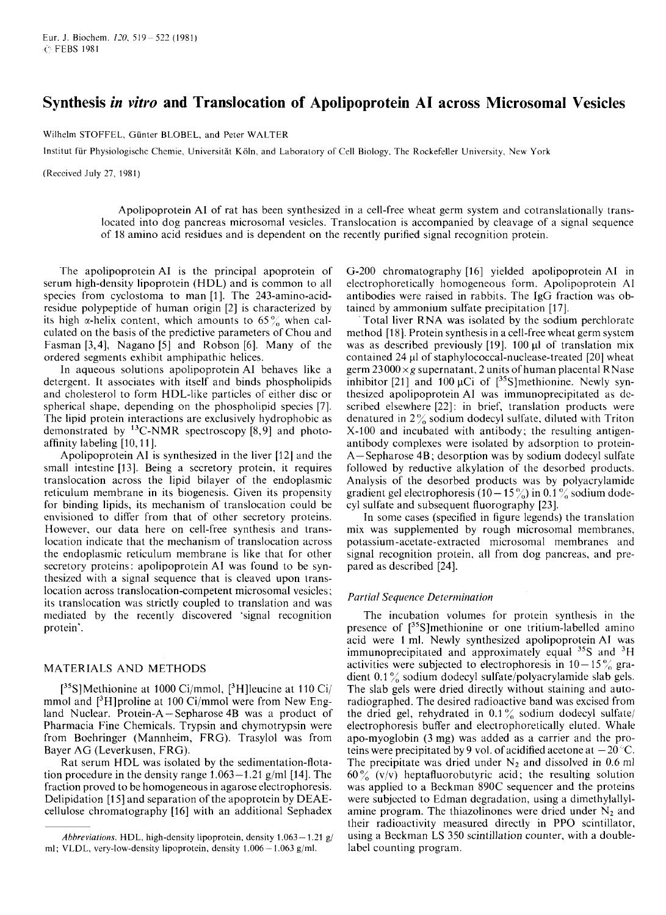Eur. J. Biochem.  $120$ ,  $519 - 522$  (1981) c' FEBS 1981

# **Synthesis** *in vitvo* **and Translocation of Apolipoprotein A1 across Microsomal Vesicles**

Wilhelm STOFFEL, Günter BLOBEL, and Peter WALTER

lnstitut fur Physiologischc Chemie, Universitat Koln, and Laboratory of Cell Biology. The Rockefeller University. New York

(Received July 27, 1981)

Apolipoprotein A1 of rat has been synthesized in a cell-free wheat germ system and cotranslationally translocated into dog pancreas microsomal vesicles. Translocation is accompanied by cleavage of a signal sequence of 18 amino acid residues and is dependent on the recently purified signal recognition protein.

The apolipoprotein A1 is the principal apoprotein of serum high-density lipoprotein (HDL) and is common to all species from cyclostoma to man [1]. The 243-amino-acidresidue polypeptide of human origin [2] is characterized by its high  $\alpha$ -helix content, which amounts to 65% when calculated on the basis of the predictive parameters of Chou and Fasman [3,4], Nagano *[5]* and Robson [6]. Many of the ordered segments exhibit amphipathic helices.

In aqueous solutions apolipoprotein A1 behaves like a detergent. It associates with itself and binds phospholipids and cholesterol to form HDL-like particles of either disc or spherical shape. depending on the phospholipid species [7]. The lipid protein interactions are exclusively hydrophobic as demonstrated by  $^{13}$ C-NMR spectroscopy [8,9] and photoaffinity labeling [lo, 1 I].

Apolipoprotein A1 is synthesized in the liver [12] and the small intestine [13]. Being a secretory protein, it requires translocation across the lipid bilayer of the endoplasmic reticulum membrane in its biogenesis. Given its propensity for binding lipids, its mechanism of translocation could be envisioned to differ from that of other secretory proteins. However, our data here on cell-free synthesis and translocation indicate that the mechanism of translocation across the endoplasmic reticulum membrane is like that for other secretory proteins: apolipoprotein A1 was found to be synthesized with a signal sequence that is cleaved upon translocation across translocation-competent microsomal vesicles ; its translocation was strictly coupled to translation and was mediated by the recently discovered 'signal recognition protein'.

## MATERIALS AND METHODS

 $[35S]$ Methionine at 1000 Ci/mmol,  $[3H]$ leucine at 110 Ci/ mmol and  $[3H]$ proline at 100 Ci/mmol were from New England Nuclear. Protein-A - Sepharose 4B was a product of Pharmacia Fine Chemicals. Trypsin and chymotrypsin were from Boehringer (Mannheim, FRG). Trasylol was from Bayer AG (Leverkusen, FRG).

Rat serum HDL was isolated by the sedimentation-flotation procedure in the density range  $1.063-1.21$  g/ml [14]. The fraction proved to be homogeneous in agarose electrophoresis. Delipidation [15] and separation of the apoprotein by DEAEcellulose chromatography [16] with an additional Sephadex G-200 chromatography [16] yielded apolipoprotein AI in electrophoretically homogeneous form. Apolipoprotein **AI**  antibodies were raised in rabbits. The IgG fraction was obtained by ammonium sulfate precipitation [17].

Total liver RNA was isolated by the sodium perchlorate method [18]. Protein synthesis in a cell-free wheat germ system was as described previously [19]. 100 **pl** of translation mix contained 24 **pl** of **staphylococcal-nuclease-treated** [20] wheat germ  $23000 \times g$  supernatant, 2 units of human placental RNase inhibitor [21] and 100  $\mu$ Ci of [<sup>35</sup>S]methionine. Newly synthesized apolipoprotein A1 was immunoprecipitated as described elsewhere [22]: in brief, translation products were denatured in 2 *7,* sodium dodecyl sulfate. diluted with Triton X-100 and incubated with antibody; the resulting antigenantibody complexes were isolated by adsorption to protein-A-Sepharose 4B; desorption was by sodium dodecyl sulfate followed by reductive alkylation of the desorbed products. Analysis of the desorbed products was by polyacrylamide gradient gel electrophoresis (10 – 15%) in 0.1% sodium dodecyl sulfate and subsequent fluorography [23].

In some cases (specified in figure legends) the translation mix was supplemented by rough microsomal membranes, potassium-acetate-extracted microsomal membranes and signal recognition protein, all from dog pancreas, and prepared as described [24].

### *Partial Sequence Determination*

The incubation volumes for protein synthesis in the presence of  $[35S]$ methionine or one tritium-labelled amino acid were 1 ml. Newly synthesized apolipoprotein **A1** was immunoprecipitated and approximately equal *35S* and 3H activities were subjected to electrophoresis in  $10-15\%$  gradient 0.1% sodium dodecyl sulfate/polyacrylamide slab gels. The slab gels were dried directly without staining and autoradiographed. The desired radioactive band was excised from the dried gel, rehydrated in  $0.1\%$  sodium dodecyl sulfate/ electrophoresis buffer and electrophoretically eluted. Whale apo-myoglobin (3 mg) was added as a carrier and the proteins were precipitated by 9 vol. of acidified acetone at  $-20$  °C. The precipitate was dried under  $N_2$  and dissolved in 0.6 ml  $60\%$  (v/v) heptafluorobutyric acid; the resulting solution was applied to a Beckman 890C sequencer and the proteins were subjected to Edman degradation, using a dimethylallylamine program. The thiazolinones were dried under  $N_2$  and their radioactivity measured directly in PPO scintillator, using a Beckman LS 350 scintillation counter, with a doublelabel counting program.

*Abbreviations.* HDL, high-density lipoprotein, density 1.063 - 1.21 g/ ml; VLDL, very-low-density lipoprotein, density  $1.006 - 1.063$  g/ml.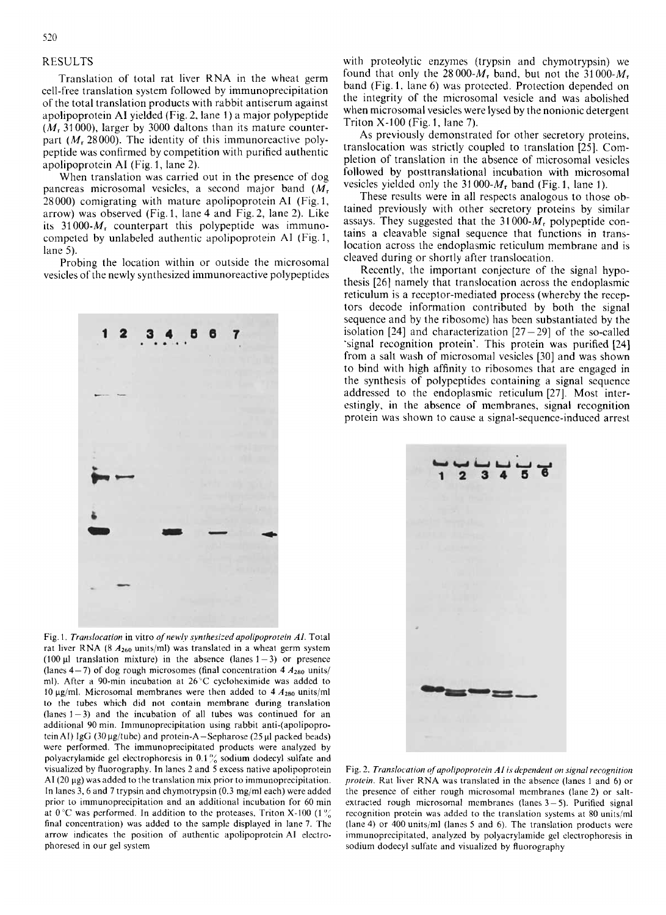## RESULTS

Translation of total rat liver KNA in the wheat germ cell-free translation system followed by immunoprecipitation of the total translation products with rabbit antiserum against apolipoprotein **A1** yielded (Fig. 2. lane **1)** *a* major polypeptide *(M,* 31 000), larger by 3000 daltons than its mature counterpart *(M<sub>r</sub>* 28000). The identity of this immunoreactive polypeptide was confirmed by competition with purified authentic apolipoprotein **A1** (Fig. 1, lane 2).

When translation was carried out in the presence of dog pancreas microsomal vesicles, a second major band *(M,*  28000) comigrating with mature apolipoprotein **A1** (Fig. 1, arrow) was observed (Fig. 1, lane 4 and Fig. 2, lane 2). Like its  $31000-M_r$  counterpart this polypeptide was immunocompcted by unlabeled authentic apolipoprotein **A1** (Fig. I, lane *5).* 

Probing the location within or outside the microsomal vesicles of the newly synthesized immunoreactive polypeptides



Fig. 1. *Translocation* in vitro of newly synthesized apolipoprotein AI. Total rat liver RNA (8  $A_{260}$  units/ml) was translated in a wheat germ system (100  $\mu$ 1 translation mixture) in the absence (lanes 1 - 3) or presence (lanes  $4-7$ ) of dog rough microsomes (final concentration  $4 A_{280}$  units/ ml). After a 90-min incubation at 26'C cycloheximide was added to 10  $\mu$ g/ml. Microsomal membranes were then added to 4  $A_{280}$  units/ml to the tubes which did not contain membrane during translation  $(lanes 1-3)$  and the incubation of all tubes was continued for an additional 90 min. Immunoprecipitation using rabbit anti-(apolipoprotein AI) IgG (30 µg/tube) and protein-A-Sepharose (25 µl packed beads) were performed. The immunoprecipitated products were analyzed by polyacrylamide gel electrophoresis in 0.1% sodium dodecyl sulfate and visualized by fluorography. In lancs 2 and 5 excess native apolipoprotein  $AI(20 \mu g)$  was added to the translation mix prior to immunoprecipitation. In lanes 3.6 and 7 trypsin and chymotrypsin (0.3 mg/ml each) were addcd prior to immunoprecipitation and an additional incubation for 60 min at 0°C was performed. In addition to the proteases, Triton X-100 (1% final concentration) was added to the sample displayed in lane 7. The arrow indicates the position of authentic apolipoprotein A1 electrophoresed in our gel system

with proteolytic enzymes (trypsin and chymotrypsin) we found that only the  $28000-M_r$  band, but not the  $31000-M_r$ band (Fig. 1, lane 6) was protected. Protection depended on the integrity of the microsomal vesicle and was abolished when microsomal vesicles were lysed by the nonionic detergent Triton X-100 (Fig. 1, lane 7).

As previously demonstrated for other secretory proteins, translocation was strictly coupled to translation *[25].* Completion of translation in the absence of microsomal vesicles followed by posttranslational incubation with microsomal vesicles yielded only the **31** *000-M,* band (Fig. 1, lane 1).

These results were in all respects analogous to those obtained previously with other secretory proteins by similar assays. They suggested that the  $31000-M_r$  polypeptide contains a cleavable signal sequence that functions in translocation across the endoplasmic reticulum membrane and **is**  cleaved during or shortly after translocation.

Recently, the important conjecture of the signal hypothesis [26] namely that translocation across the endoplasmic reticulum is a receptor-mediated process (whereby the receptors decode information contributed by both the signal sequence and by the ribosome) has been substantiated by the isolation  $[24]$  and characterization  $[27 - 29]$  of the so-called 'signal recognition protein'. This protein was purified [24] from a salt wash of microsomal vesicles [30] and was shown to bind with high affinity to ribosomes that are engaged in the synthesis of polypeptides containing a signal sequence addressed to the endoplasmic reticulum [27]. Most interestingly, in the absence of membranes, signal recognition protein was shown to cause a signal-sequence-induced arrest



Fig. 2. Translocation of apolipoprotein AI is dependent on signal recognition *profein.* Rat liver RNA was translated in the absence (lanes 1 and 6) or the presence of either rough microsomal membranes (lane2) or saltextracted rough microsomal membranes (lanes  $3-5$ ). Purified signal recognition protein was added to the translation systems at 80 units/ml (lane 4) or 400 units/nil (lancs 5 and 6). The translation products were immunoprecipitated, analyzed by polyacrylamide gel electrophoresis in sodium dodecyl sulfate and visualized by fluorography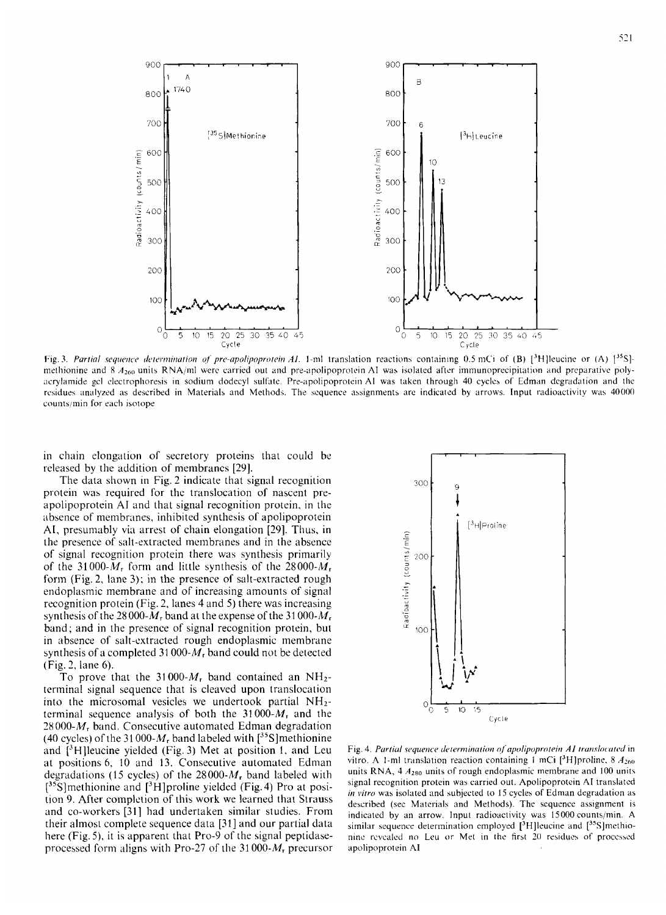

Fig. 3. Partial sequence determination of pre-apolipoprotein AL 1-ml translation reactions containing 0.5 mCi of (B) [3H]leucine or (A) [35]methionine and 8 A<sub>260</sub> units RNA/ml were carried out and pre-apolipoprotein AI was isolated after immunoprecipitation and preparative polyacrylamide gel electrophoresis in sodium dodecyl sulfate. Pre-apolipoprotein AI was taken through 40 cycles of Edman degradation and the residues analyzed as described in Materials and Methods. The sequence assignments are indicated by arrows. Input radioactivity was 40000 counts/min for each isotope

in chain elongation of secretory proteins that could be released by the addition of membranes [29].

The data shown in Fig. 2 indicate that signal recognition protein was required for the translocation of nascent preapolipoprotein AI and that signal recognition protein, in the absence of membranes, inhibited synthesis of apolipoprotein AI, presumably via arrest of chain elongation [29]. Thus, in the presence of salt-extracted membranes and in the absence of signal recognition protein there was synthesis primarily of the 31000- $M_r$  form and little synthesis of the 28000- $M_r$ form (Fig. 2, lane 3); in the presence of salt-extracted rough endoplasmic membrane and of increasing amounts of signal recognition protein (Fig. 2, lanes 4 and 5) there was increasing synthesis of the 28000- $M_r$  band at the expense of the 31000- $M_r$ band; and in the presence of signal recognition protein, but in absence of salt-extracted rough endoplasmic membrane synthesis of a completed 31 000- $M_r$  band could not be detected (Fig. 2, lane 6).

To prove that the 31000- $M_r$  band contained an NH<sub>2</sub>terminal signal sequence that is cleaved upon translocation into the microsomal vesicles we undertook partial NH<sub>2</sub>terminal sequence analysis of both the  $31000-M<sub>r</sub>$  and the 28000- $M_r$  band. Consecutive automated Edman degradation (40 cycles) of the 31 000- $M_r$  band labeled with  $[^{35}S]$  methionine and  $[3H]$  leucine yielded (Fig. 3) Met at position 1, and Leu at positions 6, 10 and 13. Consecutive automated Edman degradations (15 cycles) of the  $28000-M_r$  band labeled with  $[35S]$  methionine and  $[3H]$  proline yielded (Fig. 4) Pro at position 9. After completion of this work we learned that Strauss and co-workers [31] had undertaken similar studies. From their almost complete sequence data [31] and our partial data here (Fig. 5), it is apparent that Pro-9 of the signal peptidaseprocessed form aligns with Pro-27 of the 31000- $M_r$  precursor



Fig. 4. Partial sequence determination of apolipoprotein A1 translocated in vitro. A 1-ml translation reaction containing 1 mCi [3H] proline, 8  $A_{260}$ units RNA,  $4A_{280}$  units of rough endoplasmic membrane and 100 units signal recognition protein was carried out. Apolipoprotein AI translated in vitro was isolated and subjected to 15 cycles of Edman degradation as described (see Materials and Methods). The sequence assignment is indicated by an arrow. Input radioactivity was 15000 counts/min. A similar sequence determination employed  $[3H]$  leucine and  $[35S]$  methionine revealed no Leu or Met in the first 20 residues of processed apolipoprotein AI